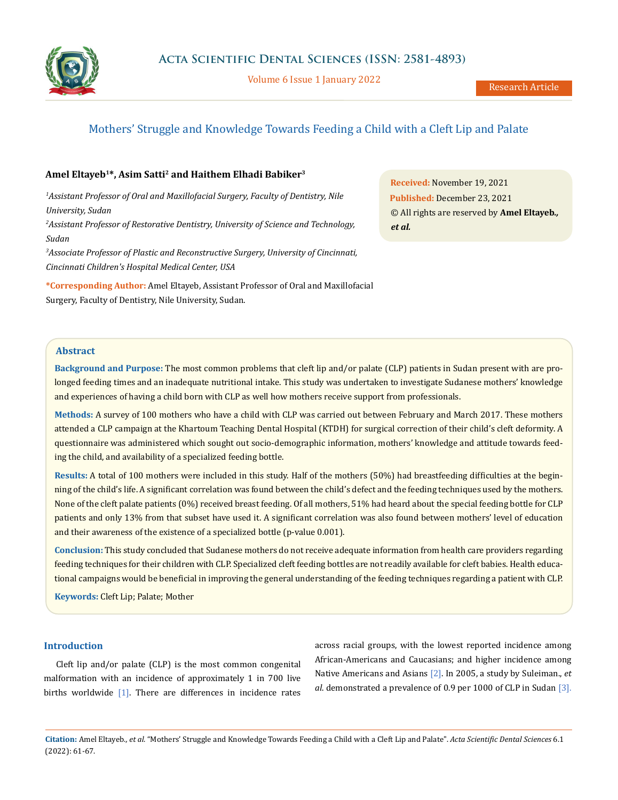

Volume 6 Issue 1 January 2022

# Mothers' Struggle and Knowledge Towards Feeding a Child with a Cleft Lip and Palate

## **Amel Eltayeb1\*, Asim Satti2 and Haithem Elhadi Babiker3**

*1 Assistant Professor of Oral and Maxillofacial Surgery, Faculty of Dentistry, Nile University, Sudan 2 Assistant Professor of Restorative Dentistry, University of Science and Technology, Sudan 3 Associate Professor of Plastic and Reconstructive Surgery, University of Cincinnati, Cincinnati Children's Hospital Medical Center, USA*

**\*Corresponding Author:** Amel Eltayeb, Assistant Professor of Oral and Maxillofacial Surgery, Faculty of Dentistry, Nile University, Sudan.

**Received:** November 19, 2021 **Published:** December 23, 2021 © All rights are reserved by **Amel Eltayeb***., et al.*

## **Abstract**

**Background and Purpose:** The most common problems that cleft lip and/or palate (CLP) patients in Sudan present with are prolonged feeding times and an inadequate nutritional intake. This study was undertaken to investigate Sudanese mothers' knowledge and experiences of having a child born with CLP as well how mothers receive support from professionals.

**Methods:** A survey of 100 mothers who have a child with CLP was carried out between February and March 2017. These mothers attended a CLP campaign at the Khartoum Teaching Dental Hospital (KTDH) for surgical correction of their child's cleft deformity. A questionnaire was administered which sought out socio-demographic information, mothers' knowledge and attitude towards feeding the child, and availability of a specialized feeding bottle.

**Results:** A total of 100 mothers were included in this study. Half of the mothers (50%) had breastfeeding difficulties at the beginning of the child's life. A significant correlation was found between the child's defect and the feeding techniques used by the mothers. None of the cleft palate patients (0%) received breast feeding. Of all mothers, 51% had heard about the special feeding bottle for CLP patients and only 13% from that subset have used it. A significant correlation was also found between mothers' level of education and their awareness of the existence of a specialized bottle (p-value 0.001).

**Conclusion:** This study concluded that Sudanese mothers do not receive adequate information from health care providers regarding feeding techniques for their children with CLP. Specialized cleft feeding bottles are not readily available for cleft babies. Health educational campaigns would be beneficial in improving the general understanding of the feeding techniques regarding a patient with CLP.

**Keywords:** Cleft Lip; Palate; Mother

### **Introduction**

Cleft lip and/or palate (CLP) is the most common congenital malformation with an incidence of approximately 1 in 700 live births worldwide  $[1]$ . There are differences in incidence rates across racial groups, with the lowest reported incidence among African-Americans and Caucasians; and higher incidence among Native Americans and Asians [2]. In 2005, a study by Suleiman., *et al*. demonstrated a prevalence of 0.9 per 1000 of CLP in Sudan [3].

**Citation:** Amel Eltayeb*., et al.* "Mothers' Struggle and Knowledge Towards Feeding a Child with a Cleft Lip and Palate". *Acta Scientific Dental Sciences* 6.1 (2022): 61-67.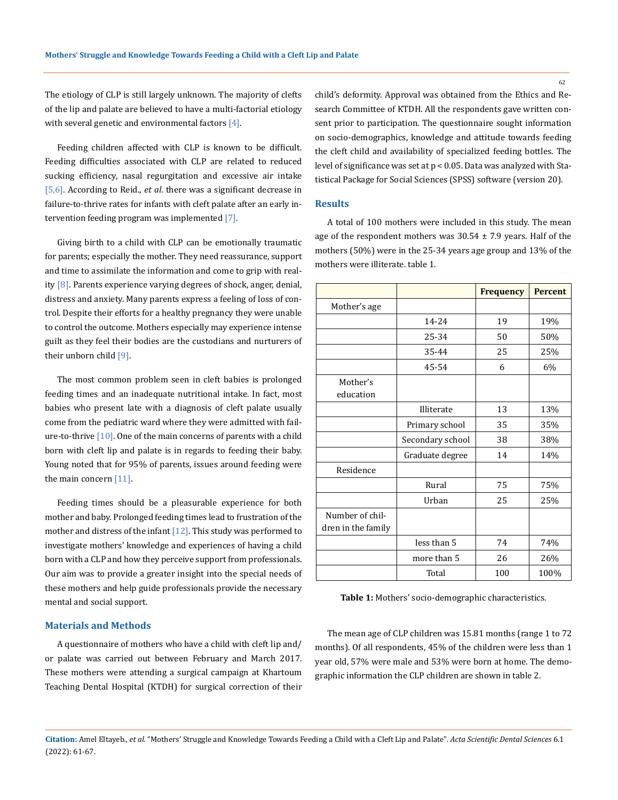The etiology of CLP is still largely unknown. The majority of clefts of the lip and palate are believed to have a multi-factorial etiology with several genetic and environmental factors  $[4]$ .

Feeding children affected with CLP is known to be difficult. Feeding difficulties associated with CLP are related to reduced sucking efficiency, nasal regurgitation and excessive air intake [5,6]. According to Reid., *et al*. there was a significant decrease in failure-to-thrive rates for infants with cleft palate after an early intervention feeding program was implemented [7].

Giving birth to a child with CLP can be emotionally traumatic for parents; especially the mother. They need reassurance, support and time to assimilate the information and come to grip with reality  $[8]$ . Parents experience varying degrees of shock, anger, denial, distress and anxiety. Many parents express a feeling of loss of control. Despite their efforts for a healthy pregnancy they were unable to control the outcome. Mothers especially may experience intense guilt as they feel their bodies are the custodians and nurturers of their unborn child [9].

The most common problem seen in cleft babies is prolonged feeding times and an inadequate nutritional intake. In fact, most babies who present late with a diagnosis of cleft palate usually come from the pediatric ward where they were admitted with failure-to-thrive  $[10]$ . One of the main concerns of parents with a child born with cleft lip and palate is in regards to feeding their baby. Young noted that for 95% of parents, issues around feeding were the main concern [11].

Feeding times should be a pleasurable experience for both mother and baby. Prolonged feeding times lead to frustration of the mother and distress of the infant  $[12]$ . This study was performed to investigate mothers' knowledge and experiences of having a child born with a CLP and how they perceive support from professionals. Our aim was to provide a greater insight into the special needs of these mothers and help guide professionals provide the necessary mental and social support.

#### **Materials and Methods**

A questionnaire of mothers who have a child with cleft lip and/ or palate was carried out between February and March 2017. These mothers were attending a surgical campaign at Khartoum Teaching Dental Hospital (KTDH) for surgical correction of their child's deformity. Approval was obtained from the Ethics and Research Committee of KTDH. All the respondents gave written consent prior to participation. The questionnaire sought information on socio-demographics, knowledge and attitude towards feeding the cleft child and availability of specialized feeding bottles. The level of significance was set at p < 0.05. Data was analyzed with Statistical Package for Social Sciences (SPSS) software (version 20).

#### **Results**

A total of 100 mothers were included in this study. The mean age of the respondent mothers was  $30.54 \pm 7.9$  years. Half of the mothers (50%) were in the 25-34 years age group and 13% of the mothers were illiterate. table 1.

|                                       |                  | <b>Frequency</b> | <b>Percent</b> |
|---------------------------------------|------------------|------------------|----------------|
| Mother's age                          |                  |                  |                |
|                                       | 14-24            | 19               | 19%            |
|                                       | 25-34            | 50               | 50%            |
|                                       | 35-44            | 25               | 25%            |
|                                       | 45-54            | 6                | 6%             |
| Mother's<br>education                 |                  |                  |                |
|                                       | Illiterate       | 13               | 13%            |
|                                       | Primary school   | 35               | 35%            |
|                                       | Secondary school | 38               | 38%            |
|                                       | Graduate degree  | 14               | 14%            |
| Residence                             |                  |                  |                |
|                                       | Rural            | 75               | 75%            |
|                                       | Urban            | 25               | 25%            |
| Number of chil-<br>dren in the family |                  |                  |                |
|                                       | less than 5      | 74               | 74%            |
|                                       | more than 5      | 26               | 26%            |
|                                       | Total            | 100              | 100%           |

**Table 1:** Mothers' socio-demographic characteristics.

The mean age of CLP children was 15.81 months (range 1 to 72 months). Of all respondents, 45% of the children were less than 1 year old, 57% were male and 53% were born at home. The demographic information the CLP children are shown in table 2.

**Citation:** Amel Eltayeb*., et al.* "Mothers' Struggle and Knowledge Towards Feeding a Child with a Cleft Lip and Palate". *Acta Scientific Dental Sciences* 6.1 (2022): 61-67.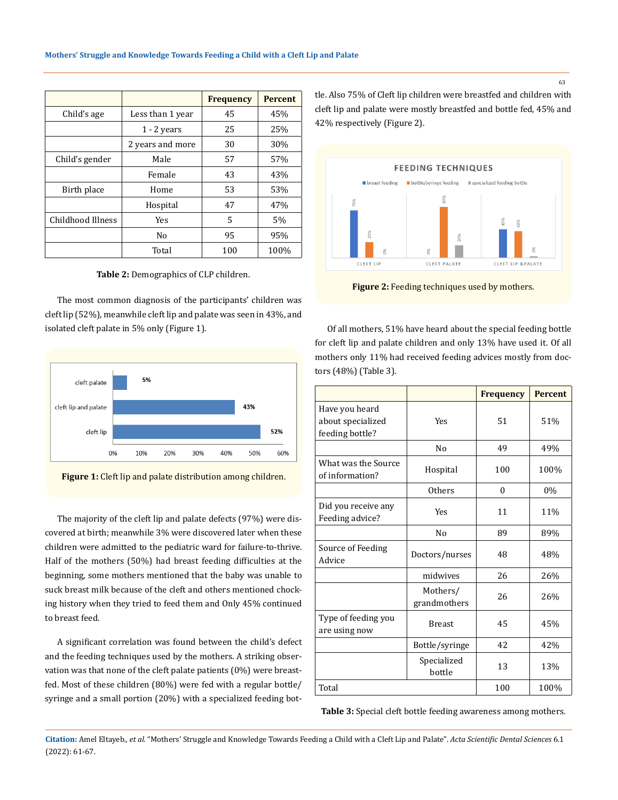|                   |                  | <b>Frequency</b> | <b>Percent</b> |
|-------------------|------------------|------------------|----------------|
| Child's age       | Less than 1 year | 45               | 45%            |
|                   | $1 - 2$ years    | 25               | 25%            |
|                   | 2 years and more | 30               | 30%            |
| Child's gender    | Male             | 57               | 57%            |
|                   | Female           | 43               | 43%            |
| Birth place       | Home             | 53               | 53%            |
|                   | Hospital         | 47               | 47%            |
| Childhood Illness | <b>Yes</b>       | 5                | 5%             |
|                   | No               | 95               | 95%            |
|                   | Total            | 100              | 100%           |

**Table 2:** Demographics of CLP children.

The most common diagnosis of the participants' children was cleft lip (52%), meanwhile cleft lip and palate was seen in 43%, and isolated cleft palate in 5% only (Figure 1).





The majority of the cleft lip and palate defects (97%) were discovered at birth; meanwhile 3% were discovered later when these children were admitted to the pediatric ward for failure-to-thrive. Half of the mothers (50%) had breast feeding difficulties at the beginning, some mothers mentioned that the baby was unable to suck breast milk because of the cleft and others mentioned chocking history when they tried to feed them and Only 45% continued to breast feed.

A significant correlation was found between the child's defect and the feeding techniques used by the mothers. A striking observation was that none of the cleft palate patients (0%) were breastfed. Most of these children (80%) were fed with a regular bottle/ syringe and a small portion (20%) with a specialized feeding bottle. Also 75% of Cleft lip children were breastfed and children with cleft lip and palate were mostly breastfed and bottle fed, 45% and 42% respectively (Figure 2).



**Figure 2:** Feeding techniques used by mothers.

Of all mothers, 51% have heard about the special feeding bottle for cleft lip and palate children and only 13% have used it. Of all mothers only 11% had received feeding advices mostly from doctors (48%) (Table 3).

|                                                        |                          | <b>Frequency</b> | <b>Percent</b> |
|--------------------------------------------------------|--------------------------|------------------|----------------|
| Have you heard<br>about specialized<br>feeding bottle? | Yes                      | 51               | 51%            |
|                                                        | N <sub>0</sub>           | 49               | 49%            |
| What was the Source<br>of information?                 | Hospital                 | 100              | 100%           |
|                                                        | <b>Others</b>            | $\theta$         | 0%             |
| Did you receive any<br>Feeding advice?                 | <b>Yes</b>               | 11               | 11%            |
|                                                        | N <sub>0</sub>           | 89               | 89%            |
| Source of Feeding<br>Advice                            | Doctors/nurses           | 48               | 48%            |
|                                                        | midwives                 | 26               | 26%            |
|                                                        | Mothers/<br>grandmothers | 26               | 26%            |
| Type of feeding you<br>are using now                   | <b>Breast</b>            | 45               | 45%            |
|                                                        | Bottle/syringe           | 42               | 42%            |
|                                                        | Specialized<br>bottle    | 13               | 13%            |
| Total                                                  |                          | 100              | 100%           |

**Table 3:** Special cleft bottle feeding awareness among mothers.

**Citation:** Amel Eltayeb*., et al.* "Mothers' Struggle and Knowledge Towards Feeding a Child with a Cleft Lip and Palate". *Acta Scientific Dental Sciences* 6.1 (2022): 61-67.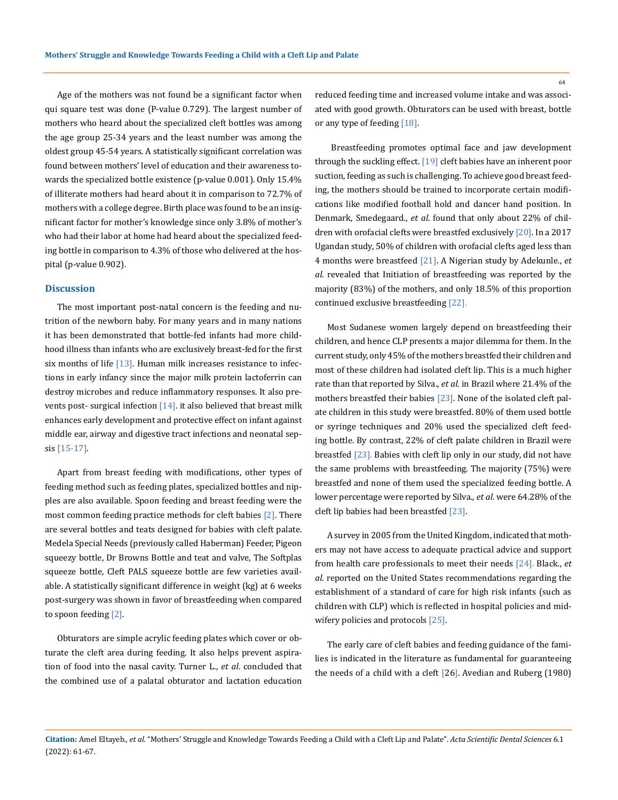Age of the mothers was not found be a significant factor when qui square test was done (P-value 0.729). The largest number of mothers who heard about the specialized cleft bottles was among the age group 25-34 years and the least number was among the oldest group 45-54 years. A statistically significant correlation was found between mothers' level of education and their awareness towards the specialized bottle existence (p-value 0.001). Only 15.4% of illiterate mothers had heard about it in comparison to 72.7% of mothers with a college degree. Birth place was found to be an insignificant factor for mother's knowledge since only 3.8% of mother's who had their labor at home had heard about the specialized feeding bottle in comparison to 4.3% of those who delivered at the hospital (p-value 0.902).

## **Discussion**

The most important post-natal concern is the feeding and nutrition of the newborn baby. For many years and in many nations it has been demonstrated that bottle-fed infants had more childhood illness than infants who are exclusively breast-fed for the first six months of life [13]. Human milk increases resistance to infections in early infancy since the major milk protein lactoferrin can destroy microbes and reduce inflammatory responses. It also prevents post- surgical infection  $[14]$ . it also believed that breast milk enhances early development and protective effect on infant against middle ear, airway and digestive tract infections and neonatal sepsis [15-17].

Apart from breast feeding with modifications, other types of feeding method such as feeding plates, specialized bottles and nipples are also available. Spoon feeding and breast feeding were the most common feeding practice methods for cleft babies [2]. There are several bottles and teats designed for babies with cleft palate. Medela Special Needs (previously called Haberman) Feeder, Pigeon squeezy bottle, Dr Browns Bottle and teat and valve, The Softplas squeeze bottle, Cleft PALS squeeze bottle are few varieties available. A statistically significant difference in weight (kg) at 6 weeks post-surgery was shown in favor of breastfeeding when compared to spoon feeding [2].

Obturators are simple acrylic feeding plates which cover or obturate the cleft area during feeding. It also helps prevent aspiration of food into the nasal cavity. Turner L., *et al*. concluded that the combined use of a palatal obturator and lactation education reduced feeding time and increased volume intake and was associated with good growth. Obturators can be used with breast, bottle or any type of feeding [18].

 Breastfeeding promotes optimal face and jaw development through the suckling effect. [19] cleft babies have an inherent poor suction, feeding as such is challenging. To achieve good breast feeding, the mothers should be trained to incorporate certain modifications like modified football hold and dancer hand position. In Denmark, Smedegaard., *et al*. found that only about 22% of children with orofacial clefts were breastfed exclusively [20]. In a 2017 Ugandan study, 50% of children with orofacial clefts aged less than 4 months were breastfeed [21]. A Nigerian study by Adekunle., *et al*. revealed that Initiation of breastfeeding was reported by the majority (83%) of the mothers, and only 18.5% of this proportion continued exclusive breastfeeding [22].

Most Sudanese women largely depend on breastfeeding their children, and hence CLP presents a major dilemma for them. In the current study, only 45% of the mothers breastfed their children and most of these children had isolated cleft lip. This is a much higher rate than that reported by Silva., *et al*. in Brazil where 21.4% of the mothers breastfed their babies [23]. None of the isolated cleft palate children in this study were breastfed. 80% of them used bottle or syringe techniques and 20% used the specialized cleft feeding bottle. By contrast, 22% of cleft palate children in Brazil were breastfed [23]. Babies with cleft lip only in our study, did not have the same problems with breastfeeding. The majority (75%) were breastfed and none of them used the specialized feeding bottle. A lower percentage were reported by Silva., *et al*. were 64.28% of the cleft lip babies had been breastfed [23].

A survey in 2005 from the United Kingdom, indicated that mothers may not have access to adequate practical advice and support from health care professionals to meet their needs [24]. Black., *et al*. reported on the United States recommendations regarding the establishment of a standard of care for high risk infants (such as children with CLP) which is reflected in hospital policies and midwifery policies and protocols [25].

The early care of cleft babies and feeding guidance of the families is indicated in the literature as fundamental for guaranteeing the needs of a child with a cleft [26]. Avedian and Ruberg (1980)

**Citation:** Amel Eltayeb*., et al.* "Mothers' Struggle and Knowledge Towards Feeding a Child with a Cleft Lip and Palate". *Acta Scientific Dental Sciences* 6.1 (2022): 61-67.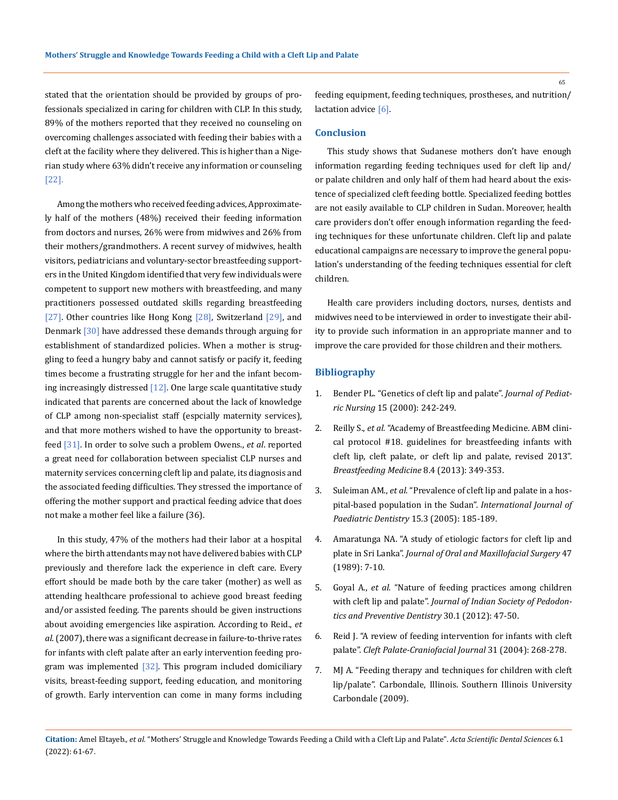stated that the orientation should be provided by groups of professionals specialized in caring for children with CLP. In this study, 89% of the mothers reported that they received no counseling on overcoming challenges associated with feeding their babies with a cleft at the facility where they delivered. This is higher than a Nigerian study where 63% didn't receive any information or counseling [22].

Among the mothers who received feeding advices, Approximately half of the mothers (48%) received their feeding information from doctors and nurses, 26% were from midwives and 26% from their mothers/grandmothers. A recent survey of midwives, health visitors, pediatricians and voluntary-sector breastfeeding supporters in the United Kingdom identified that very few individuals were competent to support new mothers with breastfeeding, and many practitioners possessed outdated skills regarding breastfeeding [27]. Other countries like Hong Kong [28], Switzerland [29], and Denmark [30] have addressed these demands through arguing for establishment of standardized policies. When a mother is struggling to feed a hungry baby and cannot satisfy or pacify it, feeding times become a frustrating struggle for her and the infant becoming increasingly distressed [12]. One large scale quantitative study indicated that parents are concerned about the lack of knowledge of CLP among non-specialist staff (espcially maternity services), and that more mothers wished to have the opportunity to breastfeed [31]. In order to solve such a problem Owens., *et al*. reported a great need for collaboration between specialist CLP nurses and maternity services concerning cleft lip and palate, its diagnosis and the associated feeding difficulties. They stressed the importance of offering the mother support and practical feeding advice that does not make a mother feel like a failure (36).

In this study, 47% of the mothers had their labor at a hospital where the birth attendants may not have delivered babies with CLP previously and therefore lack the experience in cleft care. Every effort should be made both by the care taker (mother) as well as attending healthcare professional to achieve good breast feeding and/or assisted feeding. The parents should be given instructions about avoiding emergencies like aspiration. According to Reid., *et al*. (2007), there was a significant decrease in failure-to-thrive rates for infants with cleft palate after an early intervention feeding program was implemented [32]. This program included domiciliary visits, breast-feeding support, feeding education, and monitoring of growth. Early intervention can come in many forms including

feeding equipment, feeding techniques, prostheses, and nutrition/ lactation advice [6].

#### **Conclusion**

This study shows that Sudanese mothers don't have enough information regarding feeding techniques used for cleft lip and/ or palate children and only half of them had heard about the existence of specialized cleft feeding bottle. Specialized feeding bottles are not easily available to CLP children in Sudan. Moreover, health care providers don't offer enough information regarding the feeding techniques for these unfortunate children. Cleft lip and palate educational campaigns are necessary to improve the general population's understanding of the feeding techniques essential for cleft children.

Health care providers including doctors, nurses, dentists and midwives need to be interviewed in order to investigate their ability to provide such information in an appropriate manner and to improve the care provided for those children and their mothers.

#### **Bibliography**

- 1. [Bender PL. "Genetics of cleft lip and palate".](https://pubmed.ncbi.nlm.nih.gov/10969497/) *Journal of Pediatric Nursing* [15 \(2000\): 242-249.](https://pubmed.ncbi.nlm.nih.gov/10969497/)
- 2. Reilly S., *et al.* ["Academy of Breastfeeding Medicine. ABM clini](https://pubmed.ncbi.nlm.nih.gov/23886478/)[cal protocol #18. guidelines for breastfeeding infants with](https://pubmed.ncbi.nlm.nih.gov/23886478/)  [cleft lip, cleft palate, or cleft lip and palate, revised 2013".](https://pubmed.ncbi.nlm.nih.gov/23886478/)  *Breastfeeding Medicine* [8.4 \(2013\): 349-353.](https://pubmed.ncbi.nlm.nih.gov/23886478/)
- 3. Suleiman AM., *et al.* ["Prevalence of cleft lip and palate in a hos](https://pubmed.ncbi.nlm.nih.gov/15854114/)[pital-based population in the Sudan".](https://pubmed.ncbi.nlm.nih.gov/15854114/) *International Journal of [Paediatric Dentistry](https://pubmed.ncbi.nlm.nih.gov/15854114/)* 15.3 (2005): 185-189.
- 4. [Amaratunga NA. "A study of etiologic factors for cleft lip and](https://pubmed.ncbi.nlm.nih.gov/2783459)  plate in Sri Lanka". *Journal of Oral and [Maxillofacial Surgery](https://pubmed.ncbi.nlm.nih.gov/2783459)* 47 [\(1989\): 7-10.](https://pubmed.ncbi.nlm.nih.gov/2783459)
- 5. Goyal A., *et al.* ["Nature of feeding practices among children](https://pubmed.ncbi.nlm.nih.gov/22565517/)  with cleft lip and palate". *Journal of [Indian Society of Pedodon](https://pubmed.ncbi.nlm.nih.gov/22565517/)[tics and Preventive Dentistry](https://pubmed.ncbi.nlm.nih.gov/22565517/)* 30.1 (2012): 47-50.
- 6. [Reid J. "A review of feeding intervention for infants with cleft](https://pubmed.ncbi.nlm.nih.gov/15151444/)  palate". *[Cleft Palate-Craniofacial](https://pubmed.ncbi.nlm.nih.gov/15151444/) Journal* 31 (2004): 268-278.
- 7. [MJ A. "Feeding therapy and techniques for children with cleft](https://opensiuc.lib.siu.edu/cgi/viewcontent.cgi?referer=&httpsredir=1&article=1107&context=gs_rp)  [lip/palate". Carbondale, Illinois. Southern Illinois University](https://opensiuc.lib.siu.edu/cgi/viewcontent.cgi?referer=&httpsredir=1&article=1107&context=gs_rp)  [Carbondale \(2009\).](https://opensiuc.lib.siu.edu/cgi/viewcontent.cgi?referer=&httpsredir=1&article=1107&context=gs_rp)

65

**Citation:** Amel Eltayeb*., et al.* "Mothers' Struggle and Knowledge Towards Feeding a Child with a Cleft Lip and Palate". *Acta Scientific Dental Sciences* 6.1 (2022): 61-67.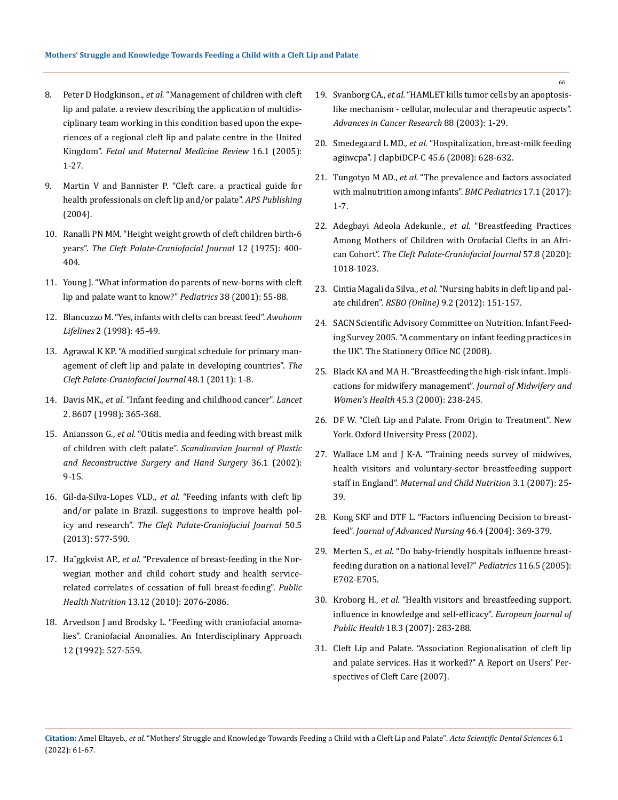- 8. Peter D Hodgkinson., *et al.* ["Management of children with cleft](https://www.cambridge.org/core/journals/fetal-and-maternal-medicine-review/article/abs/management-of-children-with-cleft-lip-and-palate-a-review-describing-the-application-of-multidisciplinary-team-working-in-this-condition-based-upon-the-experiences-of-a-regional-cleft-lip-and-palate-centre-in-the-united-kingdom/547AEE13606A6453BD0027C2EB01247A)  [lip and palate. a review describing the application of multidis](https://www.cambridge.org/core/journals/fetal-and-maternal-medicine-review/article/abs/management-of-children-with-cleft-lip-and-palate-a-review-describing-the-application-of-multidisciplinary-team-working-in-this-condition-based-upon-the-experiences-of-a-regional-cleft-lip-and-palate-centre-in-the-united-kingdom/547AEE13606A6453BD0027C2EB01247A)[ciplinary team working in this condition based upon the expe](https://www.cambridge.org/core/journals/fetal-and-maternal-medicine-review/article/abs/management-of-children-with-cleft-lip-and-palate-a-review-describing-the-application-of-multidisciplinary-team-working-in-this-condition-based-upon-the-experiences-of-a-regional-cleft-lip-and-palate-centre-in-the-united-kingdom/547AEE13606A6453BD0027C2EB01247A)[riences of a regional cleft lip and palate centre in the United](https://www.cambridge.org/core/journals/fetal-and-maternal-medicine-review/article/abs/management-of-children-with-cleft-lip-and-palate-a-review-describing-the-application-of-multidisciplinary-team-working-in-this-condition-based-upon-the-experiences-of-a-regional-cleft-lip-and-palate-centre-in-the-united-kingdom/547AEE13606A6453BD0027C2EB01247A)  Kingdom". *[Fetal and Maternal Medicine Review](https://www.cambridge.org/core/journals/fetal-and-maternal-medicine-review/article/abs/management-of-children-with-cleft-lip-and-palate-a-review-describing-the-application-of-multidisciplinary-team-working-in-this-condition-based-upon-the-experiences-of-a-regional-cleft-lip-and-palate-centre-in-the-united-kingdom/547AEE13606A6453BD0027C2EB01247A)* 16.1 (2005): [1-27.](https://www.cambridge.org/core/journals/fetal-and-maternal-medicine-review/article/abs/management-of-children-with-cleft-lip-and-palate-a-review-describing-the-application-of-multidisciplinary-team-working-in-this-condition-based-upon-the-experiences-of-a-regional-cleft-lip-and-palate-centre-in-the-united-kingdom/547AEE13606A6453BD0027C2EB01247A)
- 9. [Martin V and Bannister P. "Cleft care. a practical guide for](https://journals.sagepub.com/doi/abs/10.1597/06-030)  [health professionals on cleft lip and/or palate".](https://journals.sagepub.com/doi/abs/10.1597/06-030) *APS Publishing* [\(2004\).](https://journals.sagepub.com/doi/abs/10.1597/06-030)
- 10. [Ranalli PN MM. "Height weight growth of cleft children birth-6](https://pubmed.ncbi.nlm.nih.gov/1058750/)  years". *[The Cleft Palate-Craniofacial](https://pubmed.ncbi.nlm.nih.gov/1058750/) Journal* 12 (1975): 400- [404.](https://pubmed.ncbi.nlm.nih.gov/1058750/)
- 11. [Young J. "What information do parents of new-borns with cleft](https://pubmed.ncbi.nlm.nih.gov/11204683/)  [lip and palate want to know?"](https://pubmed.ncbi.nlm.nih.gov/11204683/) *Pediatrics* 38 (2001): 55-88.
- 12. [Blancuzzo M. "Yes, infants with clefts can breast feed".](https://pubmed.ncbi.nlm.nih.gov/9791337/) *Awohonn Lifelines* [2 \(1998\): 45-49.](https://pubmed.ncbi.nlm.nih.gov/9791337/)
- 13. [Agrawal K KP. "A modified surgical schedule for primary man](https://pubmed.ncbi.nlm.nih.gov/20500066/)[agement of cleft lip and palate in developing countries".](https://pubmed.ncbi.nlm.nih.gov/20500066/) *The [Cleft Palate-Craniofacial Journal](https://pubmed.ncbi.nlm.nih.gov/20500066/)* 48.1 (2011): 1-8.
- 14. Davis MK., *et al.* ["Infant feeding and childhood cancer".](https://pubmed.ncbi.nlm.nih.gov/2899774/) *Lancet* [2. 8607 \(1998\): 365-368.](https://pubmed.ncbi.nlm.nih.gov/2899774/)
- 15. Aniansson G., *et al.* ["Otitis media and feeding with breast milk](https://pubmed.ncbi.nlm.nih.gov/11925834/)  of children with cleft palate". *[Scandinavian Journal of Plastic](https://pubmed.ncbi.nlm.nih.gov/11925834/)  [and Reconstructive Surgery and Hand Surgery](https://pubmed.ncbi.nlm.nih.gov/11925834/)* 36.1 (2002): [9-15.](https://pubmed.ncbi.nlm.nih.gov/11925834/)
- 16. Gil-da-Silva-Lopes VLD., *et al.* ["Feeding infants with cleft lip](https://pubmed.ncbi.nlm.nih.gov/23551075/)  [and/or palate in Brazil. suggestions to improve health pol](https://pubmed.ncbi.nlm.nih.gov/23551075/)icy and research". *[The Cleft Palate-Craniofacial Journal](https://pubmed.ncbi.nlm.nih.gov/23551075/)* 50.5 [\(2013\): 577-590.](https://pubmed.ncbi.nlm.nih.gov/23551075/)
- 17. Ha¨ggkvist AP., *et al.* ["Prevalence of breast-feeding in the Nor](https://pubmed.ncbi.nlm.nih.gov/20576199/)[wegian mother and child cohort study and health service](https://pubmed.ncbi.nlm.nih.gov/20576199/)[related correlates of cessation of full breast-feeding".](https://pubmed.ncbi.nlm.nih.gov/20576199/) *Public Health Nutrition* [13.12 \(2010\): 2076-2086.](https://pubmed.ncbi.nlm.nih.gov/20576199/)
- 18. Arvedson J and Brodsky L. "Feeding with craniofacial anomalies". Craniofacial Anomalies. An Interdisciplinary Approach 12 (1992): 527-559.
- 19. Svanborg CA., *et al.* ["HAMLET kills tumor cells by an apoptosis](https://pubmed.ncbi.nlm.nih.gov/12665051/)[like mechanism - cellular, molecular and therapeutic aspects".](https://pubmed.ncbi.nlm.nih.gov/12665051/)  *[Advances in Cancer Research](https://pubmed.ncbi.nlm.nih.gov/12665051/)* 88 (2003): 1-29.
- 20. Smedegaard L MD., *et al.* "Hospitalization, breast-milk feeding agiiwcpa". J clapbiDCP-C 45.6 (2008): 628-632.
- 21. Tungotyo M AD., *et al.* ["The prevalence and factors associated](https://bmcpediatr.biomedcentral.com/articles/10.1186/s12887-016-0775-7)  [with malnutrition among infants".](https://bmcpediatr.biomedcentral.com/articles/10.1186/s12887-016-0775-7) *BMC Pediatrics* 17.1 (2017): [1-7.](https://bmcpediatr.biomedcentral.com/articles/10.1186/s12887-016-0775-7)
- 22. [Adegbayi Adeola Adekunle.,](https://pubmed.ncbi.nlm.nih.gov/32295412/) *et al.* "Breastfeeding Practices [Among Mothers of Children with Orofacial Clefts in an Afri](https://pubmed.ncbi.nlm.nih.gov/32295412/)can Cohort". *[The Cleft Palate-Craniofacial Journal](https://pubmed.ncbi.nlm.nih.gov/32295412/)* 57.8 (2020): [1018-1023.](https://pubmed.ncbi.nlm.nih.gov/32295412/)
- 23. Cintia Magali da Silva., *et al.* ["Nursing habits in cleft lip and pal](http://revodonto.bvsalud.org/scielo.php?script=sci_arttext&pid=S1984-56852012000200006)ate children". *RSBO (Online)* [9.2 \(2012\): 151-157.](http://revodonto.bvsalud.org/scielo.php?script=sci_arttext&pid=S1984-56852012000200006)
- 24. [SACN Scientific Advisory Committee on Nutrition. Infant Feed](http://www.wales.nhs.uk/news/9259)[ing Survey 2005. "A commentary on infant feeding practices in](http://www.wales.nhs.uk/news/9259)  [the UK". The Stationery Office NC \(2008\).](http://www.wales.nhs.uk/news/9259)
- 25. [Black KA and MA H. "Breastfeeding the high-risk infant. Impli](https://pubmed.ncbi.nlm.nih.gov/10907333/)[cations for midwifery management".](https://pubmed.ncbi.nlm.nih.gov/10907333/) *Journal of Midwifery and Women's Health* [45.3 \(2000\): 238-245.](https://pubmed.ncbi.nlm.nih.gov/10907333/)
- 26. [DF W. "Cleft Lip and Palate. From Origin to Treatment". New](https://www.worldcat.org/title/cleft-lip-and-palate-from-origin-to-treatment/oclc/47756264)  [York. Oxford University Press \(2002\).](https://www.worldcat.org/title/cleft-lip-and-palate-from-origin-to-treatment/oclc/47756264)
- 27. [Wallace LM and J K-A. "Training needs survey of midwives,](https://pubmed.ncbi.nlm.nih.gov/17238933/)  [health visitors and voluntary-sector breastfeeding support](https://pubmed.ncbi.nlm.nih.gov/17238933/)  staff in England". *[Maternal and Child Nutrition](https://pubmed.ncbi.nlm.nih.gov/17238933/)* 3.1 (2007): 25- [39.](https://pubmed.ncbi.nlm.nih.gov/17238933/)
- 28. [Kong SKF and DTF L. "Factors influencing Decision to breast](https://pubmed.ncbi.nlm.nih.gov/15117348/)feed". *[Journal of Advanced Nursing](https://pubmed.ncbi.nlm.nih.gov/15117348/)* 46.4 (2004): 369-379.
- 29. Merten S., *et al.* ["Do baby-friendly hospitals influence breast](https://pubmed.ncbi.nlm.nih.gov/16263985/)[feeding duration on a national level?"](https://pubmed.ncbi.nlm.nih.gov/16263985/) *Pediatrics* 116.5 (2005): [E702-E705.](https://pubmed.ncbi.nlm.nih.gov/16263985/)
- 30. Kroborg H., *et al.* ["Health visitors and breastfeeding support.](https://academic.oup.com/eurpub/article/18/3/283/520170)  [influence in knowledge and self-efficacy".](https://academic.oup.com/eurpub/article/18/3/283/520170) *European Journal of Public Health* [18.3 \(2007\): 283-288.](https://academic.oup.com/eurpub/article/18/3/283/520170)
- 31. [Cleft Lip and Palate. "Association Regionalisation of cleft lip](https://www.clapa.com/wp-content/uploads/2015/11/CLAPA-report-on-regionalisation-of-cleft-services-Apr-2007.pdf)  [and palate services. Has it worked?" A Report on Users' Per](https://www.clapa.com/wp-content/uploads/2015/11/CLAPA-report-on-regionalisation-of-cleft-services-Apr-2007.pdf)[spectives of Cleft Care](https://www.clapa.com/wp-content/uploads/2015/11/CLAPA-report-on-regionalisation-of-cleft-services-Apr-2007.pdf) (2007).

66

**Citation:** Amel Eltayeb*., et al.* "Mothers' Struggle and Knowledge Towards Feeding a Child with a Cleft Lip and Palate". *Acta Scientific Dental Sciences* 6.1 (2022): 61-67.